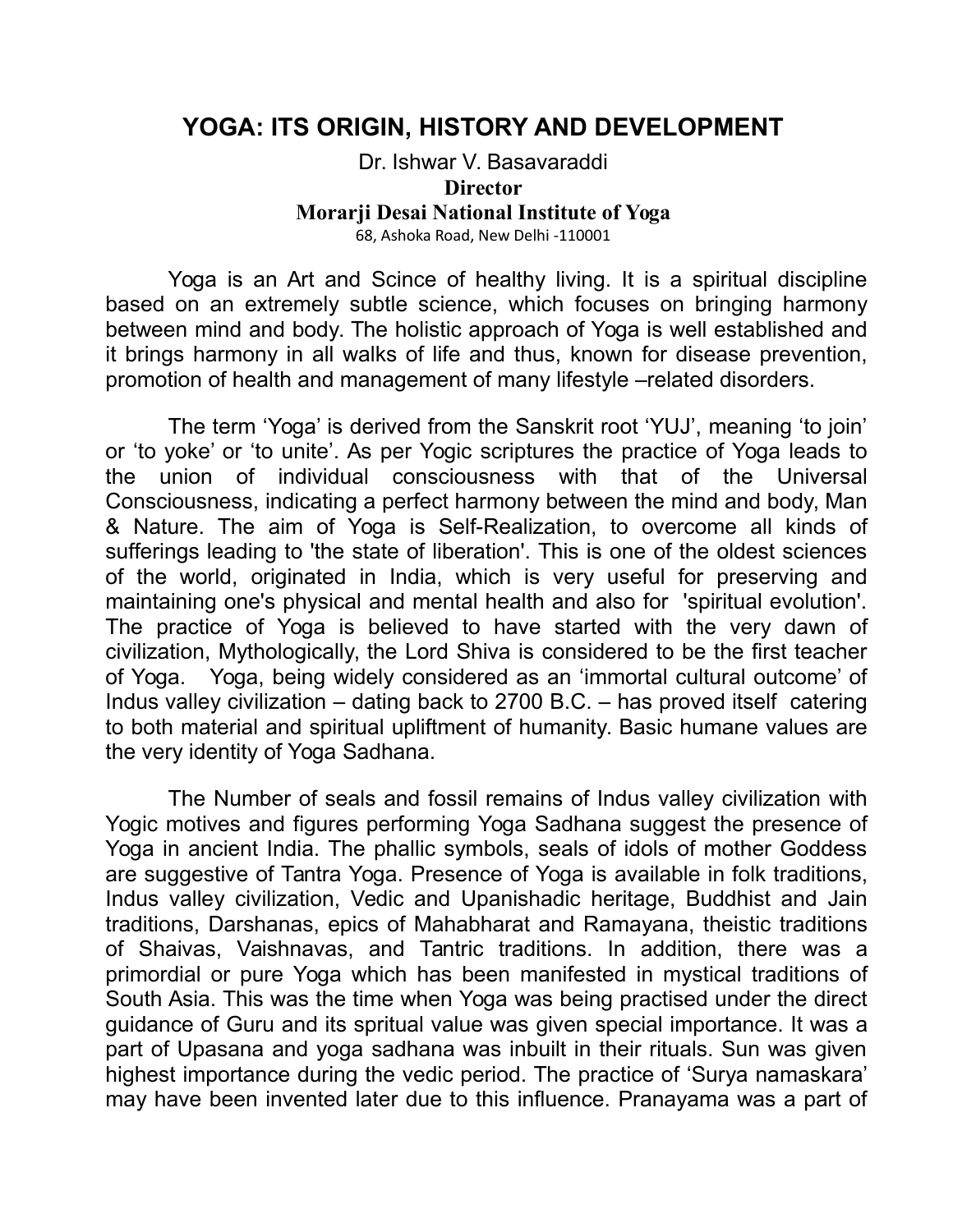## **YOGA: ITS ORIGIN, HISTORY AND DEVELOPMENT**

Dr. Ishwar V. Basavaraddi **Director Morarji Desai National Institute of Yoga** 68, Ashoka Road, New Delhi -110001

Yoga is an Art and Scince of healthy living. It is a spiritual discipline based on an extremely subtle science, which focuses on bringing harmony between mind and body. The holistic approach of Yoga is well established and it brings harmony in all walks of life and thus, known for disease prevention, promotion of health and management of many lifestyle –related disorders.

The term 'Yoga' is derived from the Sanskrit root 'YUJ', meaning 'to join' or 'to yoke' or 'to unite'. As per Yogic scriptures the practice of Yoga leads to the union of individual consciousness with that of the Universal Consciousness, indicating a perfect harmony between the mind and body, Man & Nature. The aim of Yoga is Self-Realization, to overcome all kinds of sufferings leading to 'the state of liberation'. This is one of the oldest sciences of the world, originated in India, which is very useful for preserving and maintaining one's physical and mental health and also for 'spiritual evolution'. The practice of Yoga is believed to have started with the very dawn of civilization, Mythologically, the Lord Shiva is considered to be the first teacher of Yoga. Yoga, being widely considered as an 'immortal cultural outcome' of Indus valley civilization – dating back to 2700 B.C. – has proved itself catering to both material and spiritual upliftment of humanity. Basic humane values are the very identity of Yoga Sadhana.

The Number of seals and fossil remains of Indus valley civilization with Yogic motives and figures performing Yoga Sadhana suggest the presence of Yoga in ancient India. The phallic symbols, seals of idols of mother Goddess are suggestive of Tantra Yoga. Presence of Yoga is available in folk traditions, Indus valley civilization, Vedic and Upanishadic heritage, Buddhist and Jain traditions, Darshanas, epics of Mahabharat and Ramayana, theistic traditions of Shaivas, Vaishnavas, and Tantric traditions. In addition, there was a primordial or pure Yoga which has been manifested in mystical traditions of South Asia. This was the time when Yoga was being practised under the direct guidance of Guru and its spritual value was given special importance. It was a part of Upasana and yoga sadhana was inbuilt in their rituals. Sun was given highest importance during the vedic period. The practice of 'Surya namaskara' may have been invented later due to this influence. Pranayama was a part of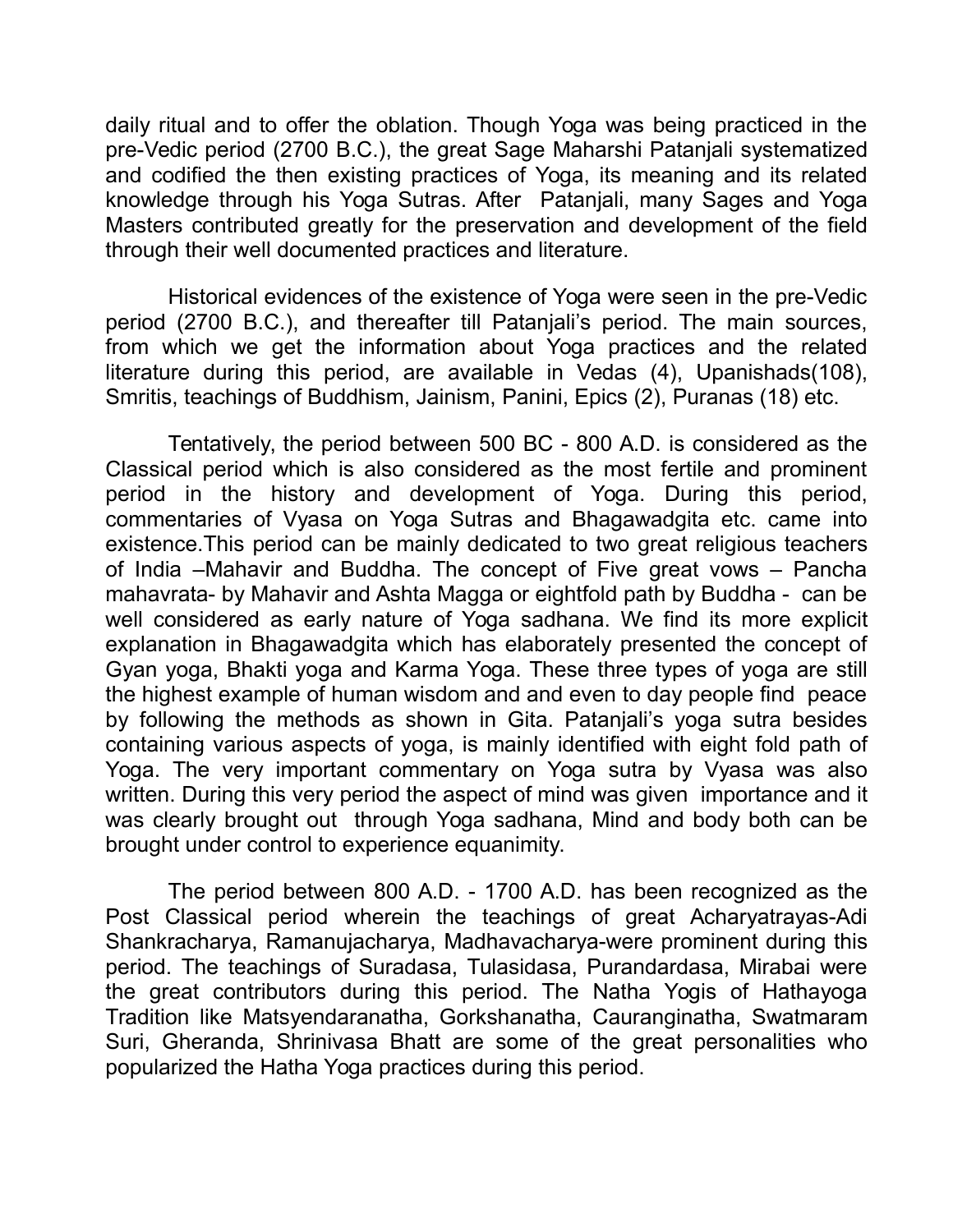daily ritual and to offer the oblation. Though Yoga was being practiced in the pre-Vedic period (2700 B.C.), the great Sage Maharshi Patanjali systematized and codified the then existing practices of Yoga, its meaning and its related knowledge through his Yoga Sutras. After Patanjali, many Sages and Yoga Masters contributed greatly for the preservation and development of the field through their well documented practices and literature.

Historical evidences of the existence of Yoga were seen in the pre-Vedic period (2700 B.C.), and thereafter till Patanjali's period. The main sources, from which we get the information about Yoga practices and the related literature during this period, are available in Vedas (4), Upanishads(108), Smritis, teachings of Buddhism, Jainism, Panini, Epics (2), Puranas (18) etc.

Tentatively, the period between 500 BC - 800 A.D. is considered as the Classical period which is also considered as the most fertile and prominent period in the history and development of Yoga. During this period, commentaries of Vyasa on Yoga Sutras and Bhagawadgita etc. came into existence.This period can be mainly dedicated to two great religious teachers of India –Mahavir and Buddha. The concept of Five great vows – Pancha mahavrata- by Mahavir and Ashta Magga or eightfold path by Buddha - can be well considered as early nature of Yoga sadhana. We find its more explicit explanation in Bhagawadgita which has elaborately presented the concept of Gyan yoga, Bhakti yoga and Karma Yoga. These three types of yoga are still the highest example of human wisdom and and even to day people find peace by following the methods as shown in Gita. Patanjali's yoga sutra besides containing various aspects of yoga, is mainly identified with eight fold path of Yoga. The very important commentary on Yoga sutra by Vyasa was also written. During this very period the aspect of mind was given importance and it was clearly brought out through Yoga sadhana, Mind and body both can be brought under control to experience equanimity.

The period between 800 A.D. - 1700 A.D. has been recognized as the Post Classical period wherein the teachings of great Acharyatrayas-Adi Shankracharya, Ramanujacharya, Madhavacharya-were prominent during this period. The teachings of Suradasa, Tulasidasa, Purandardasa, Mirabai were the great contributors during this period. The Natha Yogis of Hathayoga Tradition like Matsyendaranatha, Gorkshanatha, Cauranginatha, Swatmaram Suri, Gheranda, Shrinivasa Bhatt are some of the great personalities who popularized the Hatha Yoga practices during this period.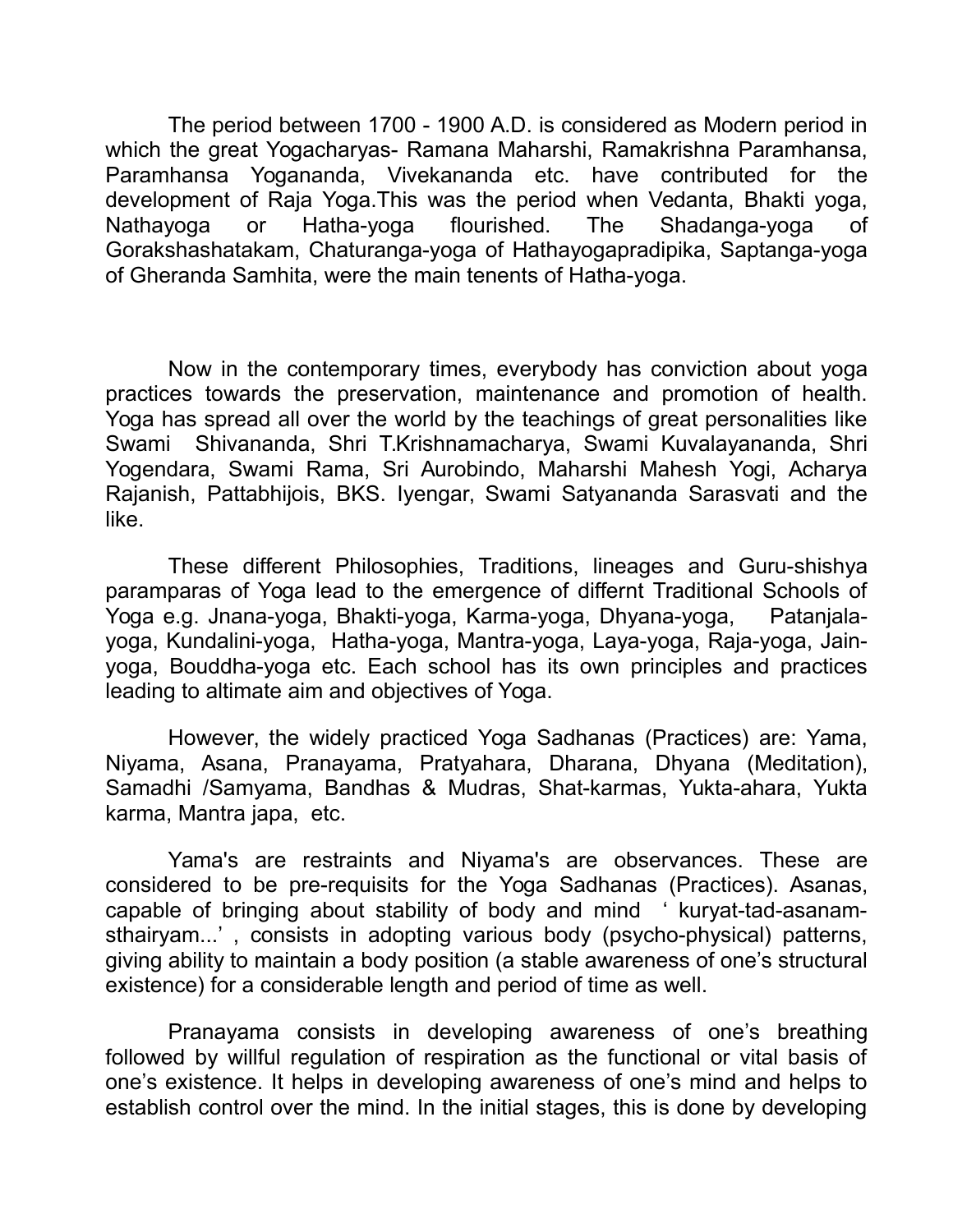The period between 1700 - 1900 A.D. is considered as Modern period in which the great Yogacharyas- Ramana Maharshi, Ramakrishna Paramhansa, Paramhansa Yogananda, Vivekananda etc. have contributed for the development of Raja Yoga.This was the period when Vedanta, Bhakti yoga, Nathayoga or Hatha-yoga flourished. The Shadanga-yoga of Gorakshashatakam, Chaturanga-yoga of Hathayogapradipika, Saptanga-yoga of Gheranda Samhita, were the main tenents of Hatha-yoga.

Now in the contemporary times, everybody has conviction about yoga practices towards the preservation, maintenance and promotion of health. Yoga has spread all over the world by the teachings of great personalities like Swami Shivananda, Shri T.Krishnamacharya, Swami Kuvalayananda, Shri Yogendara, Swami Rama, Sri Aurobindo, Maharshi Mahesh Yogi, Acharya Rajanish, Pattabhijois, BKS. Iyengar, Swami Satyananda Sarasvati and the like.

These different Philosophies, Traditions, lineages and Guru-shishya paramparas of Yoga lead to the emergence of differnt Traditional Schools of Yoga e.g. Jnana-yoga, Bhakti-yoga, Karma-yoga, Dhyana-yoga, Patanjalayoga, Kundalini-yoga, Hatha-yoga, Mantra-yoga, Laya-yoga, Raja-yoga, Jainyoga, Bouddha-yoga etc. Each school has its own principles and practices leading to altimate aim and objectives of Yoga.

However, the widely practiced Yoga Sadhanas (Practices) are: Yama, Niyama, Asana, Pranayama, Pratyahara, Dharana, Dhyana (Meditation), Samadhi /Samyama, Bandhas & Mudras, Shat-karmas, Yukta-ahara, Yukta karma, Mantra japa, etc.

Yama's are restraints and Niyama's are observances. These are considered to be pre-requisits for the Yoga Sadhanas (Practices). Asanas, capable of bringing about stability of body and mind ' kuryat-tad-asanamsthairyam...' , consists in adopting various body (psycho-physical) patterns, giving ability to maintain a body position (a stable awareness of one's structural existence) for a considerable length and period of time as well.

Pranayama consists in developing awareness of one's breathing followed by willful regulation of respiration as the functional or vital basis of one's existence. It helps in developing awareness of one's mind and helps to establish control over the mind. In the initial stages, this is done by developing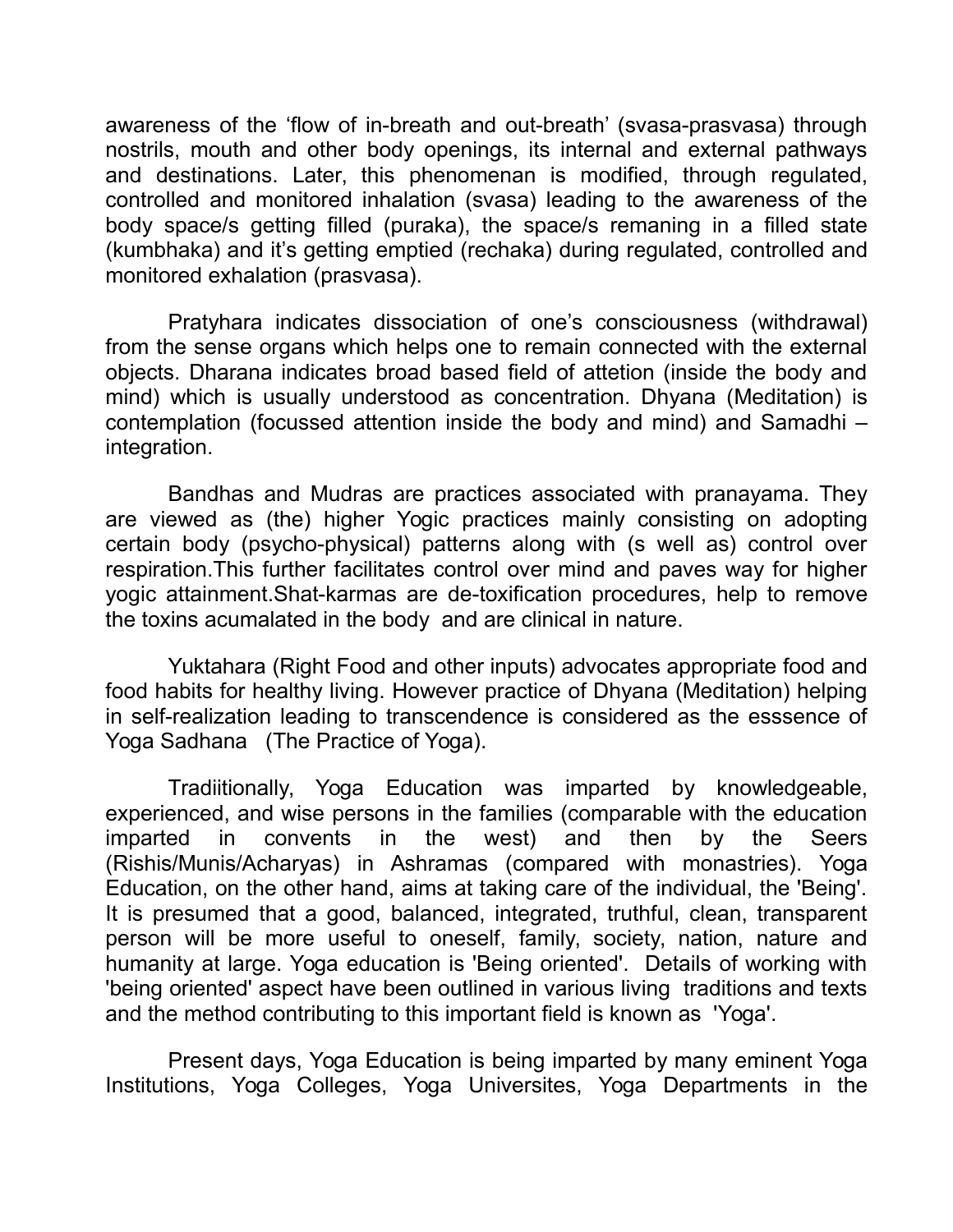awareness of the 'flow of in-breath and out-breath' (svasa-prasvasa) through nostrils, mouth and other body openings, its internal and external pathways and destinations. Later, this phenomenan is modified, through regulated, controlled and monitored inhalation (svasa) leading to the awareness of the body space/s getting filled (puraka), the space/s remaning in a filled state (kumbhaka) and it's getting emptied (rechaka) during regulated, controlled and monitored exhalation (prasvasa).

Pratyhara indicates dissociation of one's consciousness (withdrawal) from the sense organs which helps one to remain connected with the external objects. Dharana indicates broad based field of attetion (inside the body and mind) which is usually understood as concentration. Dhyana (Meditation) is contemplation (focussed attention inside the body and mind) and Samadhi – integration.

Bandhas and Mudras are practices associated with pranayama. They are viewed as (the) higher Yogic practices mainly consisting on adopting certain body (psycho-physical) patterns along with (s well as) control over respiration.This further facilitates control over mind and paves way for higher yogic attainment.Shat-karmas are de-toxification procedures, help to remove the toxins acumalated in the body and are clinical in nature.

Yuktahara (Right Food and other inputs) advocates appropriate food and food habits for healthy living. However practice of Dhyana (Meditation) helping in self-realization leading to transcendence is considered as the esssence of Yoga Sadhana (The Practice of Yoga).

Tradiitionally, Yoga Education was imparted by knowledgeable, experienced, and wise persons in the families (comparable with the education imparted in convents in the west) and then by the Seers (Rishis/Munis/Acharyas) in Ashramas (compared with monastries). Yoga Education, on the other hand, aims at taking care of the individual, the 'Being'. It is presumed that a good, balanced, integrated, truthful, clean, transparent person will be more useful to oneself, family, society, nation, nature and humanity at large. Yoga education is 'Being oriented'. Details of working with 'being oriented' aspect have been outlined in various living traditions and texts and the method contributing to this important field is known as 'Yoga'.

Present days, Yoga Education is being imparted by many eminent Yoga Institutions, Yoga Colleges, Yoga Universites, Yoga Departments in the